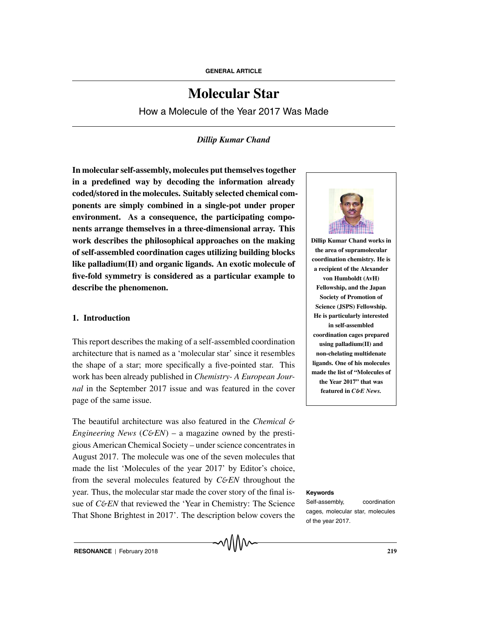# **Molecular Star**

How a Molecule of the Year 2017 Was Made

# *Dillip Kumar Chand*

**In molecular self-assembly, molecules put themselves together in a predefined way by decoding the information already coded**/**stored in the molecules. Suitably selected chemical components are simply combined in a single-pot under proper environment. As a consequence, the participating components arrange themselves in a three-dimensional array. This work describes the philosophical approaches on the making of self-assembled coordination cages utilizing building blocks like palladium(II) and organic ligands. An exotic molecule of five-fold symmetry is considered as a particular example to describe the phenomenon.**

## **1. Introduction**

This report describes the making of a self-assembled coordination architecture that is named as a 'molecular star' since it resembles the shape of a star; more specifically a five-pointed star. This work has been already published in *Chemistry- A European Journal* in the September 2017 issue and was featured in the cover page of the same issue.

The beautiful architecture was also featured in the *Chemical* & *Engineering News* ( $C\&EN$ ) – a magazine owned by the prestigious American Chemical Society – under science concentrates in August 2017. The molecule was one of the seven molecules that made the list 'Molecules of the year 2017' by Editor's choice, from the several molecules featured by *C&EN* throughout the year. Thus, the molecular star made the cover story of the final is- **Keywords** sue of *C&EN* that reviewed the 'Year in Chemistry: The Science That Shone Brightest in 2017'. The description below covers the



**Dillip Kumar Chand works in the area of supramolecular coordination chemistry. He is a recipient of the Alexander von Humboldt (AvH) Fellowship, and the Japan Society of Promotion of Science (JSPS) Fellowship. He is particularly interested in self-assembled coordination cages prepared using palladium(II) and non-chelating multidenate ligands. One of his molecules made the list of "Molecules of the Year 2017" that was featured in** *C*&*E News.*

Self-assembly, coordination cages, molecular star, molecules of the year 2017.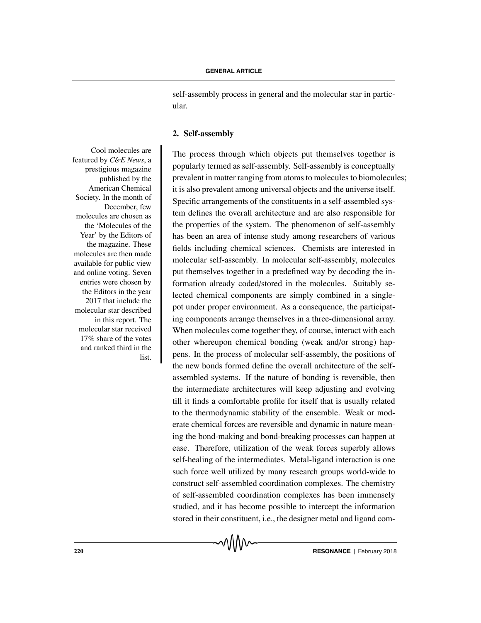self-assembly process in general and the molecular star in particular.

### **2. Self-assembly**

The process through which objects put themselves together is popularly termed as self-assembly. Self-assembly is conceptually prevalent in matter ranging from atoms to molecules to biomolecules; it is also prevalent among universal objects and the universe itself. Specific arrangements of the constituents in a self-assembled system defines the overall architecture and are also responsible for the properties of the system. The phenomenon of self-assembly has been an area of intense study among researchers of various fields including chemical sciences. Chemists are interested in molecular self-assembly. In molecular self-assembly, molecules put themselves together in a predefined way by decoding the information already coded/stored in the molecules. Suitably selected chemical components are simply combined in a singlepot under proper environment. As a consequence, the participating components arrange themselves in a three-dimensional array. When molecules come together they, of course, interact with each other whereupon chemical bonding (weak and/or strong) happens. In the process of molecular self-assembly, the positions of the new bonds formed define the overall architecture of the selfassembled systems. If the nature of bonding is reversible, then the intermediate architectures will keep adjusting and evolving till it finds a comfortable profile for itself that is usually related to the thermodynamic stability of the ensemble. Weak or moderate chemical forces are reversible and dynamic in nature meaning the bond-making and bond-breaking processes can happen at ease. Therefore, utilization of the weak forces superbly allows self-healing of the intermediates. Metal-ligand interaction is one such force well utilized by many research groups world-wide to construct self-assembled coordination complexes. The chemistry of self-assembled coordination complexes has been immensely studied, and it has become possible to intercept the information stored in their constituent, i.e., the designer metal and ligand com-

Cool molecules are featured by *C*&*E News*, a prestigious magazine published by the American Chemical Society. In the month of December, few molecules are chosen as the 'Molecules of the Year' by the Editors of the magazine. These molecules are then made available for public view and online voting. Seven entries were chosen by the Editors in the year 2017 that include the molecular star described in this report. The molecular star received 17% share of the votes and ranked third in the list.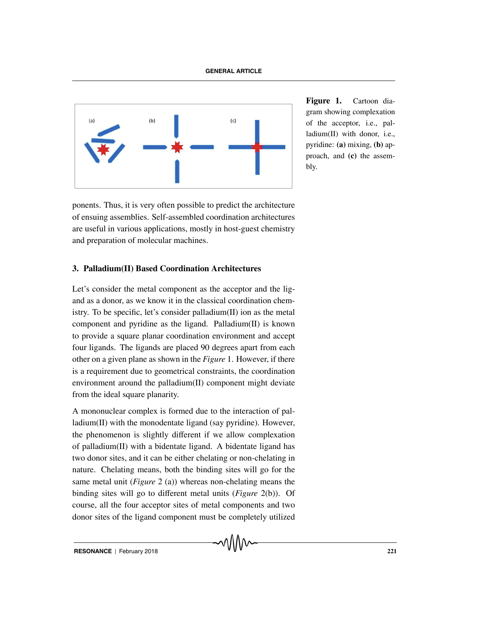

**Figure 1.** Cartoon diagram showing complexation of the acceptor, i.e., palladium(II) with donor, i.e., pyridine: **(a)** mixing, **(b)** approach, and **(c)** the assembly.

ponents. Thus, it is very often possible to predict the architecture of ensuing assemblies. Self-assembled coordination architectures are useful in various applications, mostly in host-guest chemistry and preparation of molecular machines.

# **3. Palladium(II) Based Coordination Architectures**

Let's consider the metal component as the acceptor and the ligand as a donor, as we know it in the classical coordination chemistry. To be specific, let's consider palladium(II) ion as the metal component and pyridine as the ligand. Palladium(II) is known to provide a square planar coordination environment and accept four ligands. The ligands are placed 90 degrees apart from each other on a given plane as shown in the *Figure* 1. However, if there is a requirement due to geometrical constraints, the coordination environment around the palladium(II) component might deviate from the ideal square planarity.

A mononuclear complex is formed due to the interaction of palladium(II) with the monodentate ligand (say pyridine). However, the phenomenon is slightly different if we allow complexation of palladium(II) with a bidentate ligand. A bidentate ligand has two donor sites, and it can be either chelating or non-chelating in nature. Chelating means, both the binding sites will go for the same metal unit (*Figure* 2 (a)) whereas non-chelating means the binding sites will go to different metal units (*Figure* 2(b)). Of course, all the four acceptor sites of metal components and two donor sites of the ligand component must be completely utilized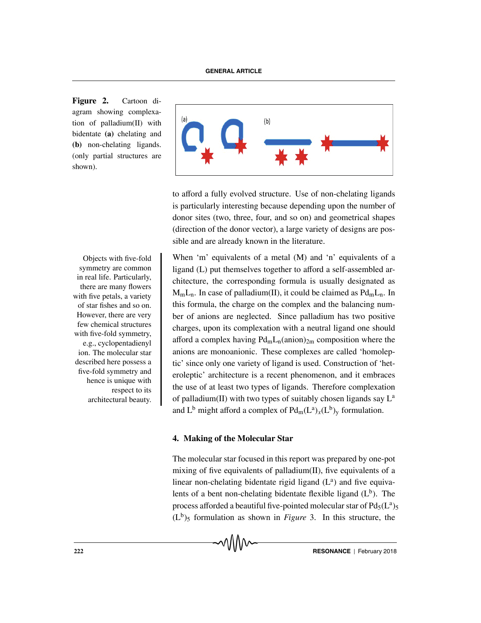**Figure 2.** Cartoon diagram showing complexation of palladium(II) with bidentate **(a)** chelating and **(b)** non-chelating ligands. (only partial structures are shown).



to afford a fully evolved structure. Use of non-chelating ligands is particularly interesting because depending upon the number of donor sites (two, three, four, and so on) and geometrical shapes (direction of the donor vector), a large variety of designs are possible and are already known in the literature.

Objects with five-fold When 'm' equivalents of a metal (M) and 'n' equivalents of a ligand (L) put themselves together to afford a self-assembled architecture, the corresponding formula is usually designated as  $M_mL_n$ . In case of palladium(II), it could be claimed as  $Pd_mL_n$ . In this formula, the charge on the complex and the balancing number of anions are neglected. Since palladium has two positive charges, upon its complexation with a neutral ligand one should afford a complex having  $Pd<sub>m</sub>L<sub>n</sub>(anion)<sub>2m</sub>$  composition where the anions are monoanionic. These complexes are called 'homoleptic' since only one variety of ligand is used. Construction of 'heteroleptic' architecture is a recent phenomenon, and it embraces the use of at least two types of ligands. Therefore complexation of palladium(II) with two types of suitably chosen ligands say  $L^a$ and L<sup>b</sup> might afford a complex of  $Pd_m(L^a)_x(L^b)_y$  formulation.

# **4. Making of the Molecular Star**

The molecular star focused in this report was prepared by one-pot mixing of five equivalents of palladium(II), five equivalents of a linear non-chelating bidentate rigid ligand  $(L<sup>a</sup>)$  and five equivalents of a bent non-chelating bidentate flexible ligand  $(L<sup>b</sup>)$ . The process afforded a beautiful five-pointed molecular star of  $Pd_5(L^a)$ <sub>5</sub>  $(L<sup>b</sup>)$ <sub>5</sub> formulation as shown in *Figure* 3. In this structure, the

symmetry are common in real life. Particularly, there are many flowers with five petals, a variety of star fishes and so on. However, there are very few chemical structures with five-fold symmetry, e.g., cyclopentadienyl ion. The molecular star described here possess a five-fold symmetry and hence is unique with respect to its architectural beauty.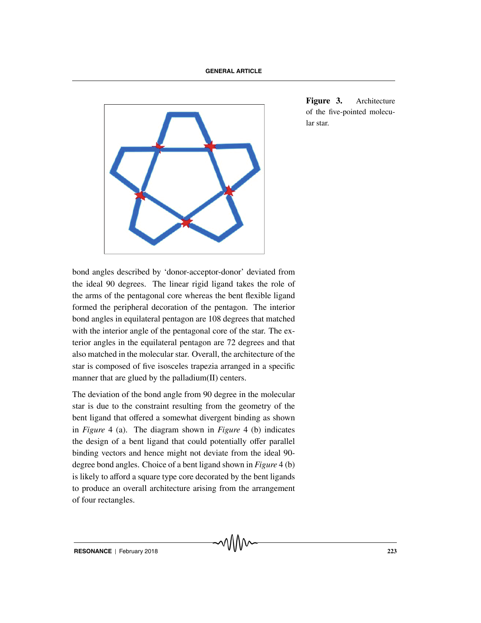

**Figure 3.** Architecture of the five-pointed molecular star.

bond angles described by 'donor-acceptor-donor' deviated from the ideal 90 degrees. The linear rigid ligand takes the role of the arms of the pentagonal core whereas the bent flexible ligand formed the peripheral decoration of the pentagon. The interior bond angles in equilateral pentagon are 108 degrees that matched with the interior angle of the pentagonal core of the star. The exterior angles in the equilateral pentagon are 72 degrees and that also matched in the molecular star. Overall, the architecture of the star is composed of five isosceles trapezia arranged in a specific manner that are glued by the palladium(II) centers.

The deviation of the bond angle from 90 degree in the molecular star is due to the constraint resulting from the geometry of the bent ligand that offered a somewhat divergent binding as shown in *Figure* 4 (a). The diagram shown in *Figure* 4 (b) indicates the design of a bent ligand that could potentially offer parallel binding vectors and hence might not deviate from the ideal 90 degree bond angles. Choice of a bent ligand shown in *Figure* 4 (b) is likely to afford a square type core decorated by the bent ligands to produce an overall architecture arising from the arrangement of four rectangles.